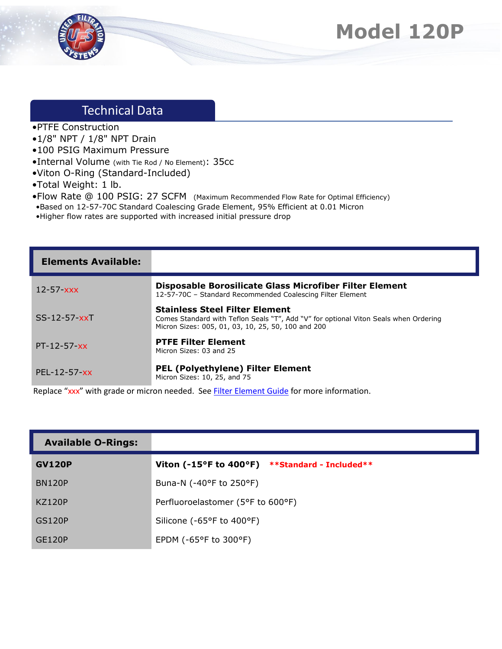



## Technical Data

- •PTFE Construction
- •1/8" NPT / 1/8" NPT Drain
- •100 PSIG Maximum Pressure
- •Internal Volume (with Tie Rod / No Element): 35cc
- •Viton O-Ring (Standard-Included)
- •Total Weight: 1 lb.
- •Flow Rate @ 100 PSIG: 27 SCFM (Maximum Recommended Flow Rate for Optimal Efficiency)
- •Based on 12-57-70C Standard Coalescing Grade Element, 95% Efficient at 0.01 Micron
- •Higher flow rates are supported with increased initial pressure drop

| <b>Elements Available:</b> |                                                                                                                                                                                     |
|----------------------------|-------------------------------------------------------------------------------------------------------------------------------------------------------------------------------------|
| $12 - 57 - xxx$            | Disposable Borosilicate Glass Microfiber Filter Element<br>12-57-70C - Standard Recommended Coalescing Filter Element                                                               |
| $SS-12-57-xxT$             | <b>Stainless Steel Filter Element</b><br>Comes Standard with Teflon Seals "T", Add "V" for optional Viton Seals when Ordering<br>Micron Sizes: 005, 01, 03, 10, 25, 50, 100 and 200 |
| $PT-12-57-xx$              | <b>PTFE Filter Element</b><br>Micron Sizes: 03 and 25                                                                                                                               |
| $PEL - 12 - 57 - xx$       | <b>PEL (Polyethylene) Filter Element</b><br>Micron Sizes: 10, 25, and 75                                                                                                            |

Replace "xxx" with grade or micron needed. See **Filter Element Guide** for more information.

| <b>Available O-Rings:</b> |                                                |
|---------------------------|------------------------------------------------|
| <b>GV120P</b>             | Viton (-15°F to 400°F) **Standard - Included** |
| <b>BN120P</b>             | Buna-N (-40°F to 250°F)                        |
| <b>KZ120P</b>             | Perfluoroelastomer (5°F to 600°F)              |
| <b>GS120P</b>             | Silicone (-65°F to 400°F)                      |
| GE120P                    | EPDM ( $-65^{\circ}$ F to 300 $^{\circ}$ F)    |